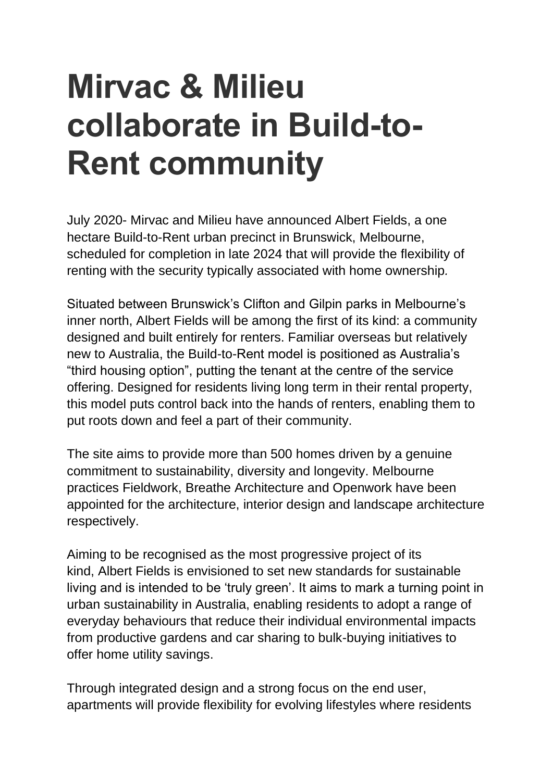## **Mirvac & Milieu collaborate in Build-to-Rent community**

July 2020- Mirvac and Milieu have announced Albert Fields, a one hectare Build-to-Rent urban precinct in Brunswick, Melbourne, scheduled for completion in late 2024 that will provide the flexibility of renting with the security typically associated with home ownership*.*

Situated between Brunswick's Clifton and Gilpin parks in Melbourne's inner north, Albert Fields will be among the first of its kind: a community designed and built entirely for renters. Familiar overseas but relatively new to Australia, the Build-to-Rent model is positioned as Australia's "third housing option", putting the tenant at the centre of the service offering. Designed for residents living long term in their rental property, this model puts control back into the hands of renters, enabling them to put roots down and feel a part of their community.

The site aims to provide more than 500 homes driven by a genuine commitment to sustainability, diversity and longevity. Melbourne practices Fieldwork, Breathe Architecture and Openwork have been appointed for the architecture, interior design and landscape architecture respectively.

Aiming to be recognised as the most progressive project of its kind, Albert Fields is envisioned to set new standards for sustainable living and is intended to be 'truly green'. It aims to mark a turning point in urban sustainability in Australia, enabling residents to adopt a range of everyday behaviours that reduce their individual environmental impacts from productive gardens and car sharing to bulk-buying initiatives to offer home utility savings.

Through integrated design and a strong focus on the end user, apartments will provide flexibility for evolving lifestyles where residents